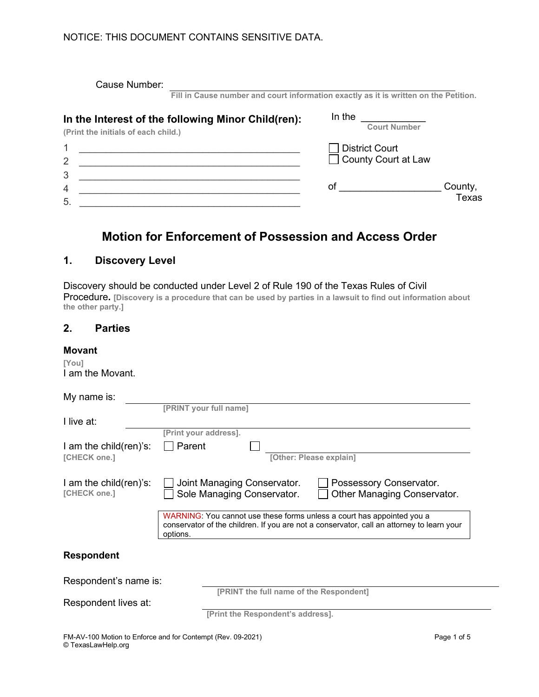| Cause Number:                                                                             | Fill in Cause number and court information exactly as it is written on the Petition. |  |  |
|-------------------------------------------------------------------------------------------|--------------------------------------------------------------------------------------|--|--|
| In the Interest of the following Minor Child(ren):<br>(Print the initials of each child.) | In the<br><b>Court Number</b>                                                        |  |  |
| $\overline{2}$                                                                            | <b>District Court</b><br>County Court at Law                                         |  |  |
| 3<br>4                                                                                    | County,<br>οf                                                                        |  |  |
| 5.                                                                                        | <b>Texas</b>                                                                         |  |  |

# **Motion for Enforcement of Possession and Access Order**

# **1. Discovery Level**

Discovery should be conducted under Level 2 of Rule 190 of the Texas Rules of Civil Procedure**. [Discovery is a procedure that can be used by parties in a lawsuit to find out information about the other party.]**

#### **2. Parties**

#### **Movant**

**[You]** I am the Movant.

| My name is:                                       |                                                                                                                                                                                 |
|---------------------------------------------------|---------------------------------------------------------------------------------------------------------------------------------------------------------------------------------|
|                                                   | [PRINT your full name]                                                                                                                                                          |
| I live at:                                        |                                                                                                                                                                                 |
|                                                   | [Print your address].                                                                                                                                                           |
| I am the child $(\text{ren})$ 's:<br>[CHECK one.] | Parent<br>[Other: Please explain]                                                                                                                                               |
| I am the child $(\text{ren})$ 's:<br>[CHECK one.] | Joint Managing Conservator.<br>Possessory Conservator.<br>Sole Managing Conservator.<br>Other Managing Conservator.                                                             |
|                                                   | WARNING: You cannot use these forms unless a court has appointed you a<br>conservator of the children. If you are not a conservator, call an attorney to learn your<br>options. |
| <b>Respondent</b>                                 |                                                                                                                                                                                 |
| Respondent's name is:                             |                                                                                                                                                                                 |
|                                                   | [PRINT the full name of the Respondent]                                                                                                                                         |
| Respondent lives at:                              |                                                                                                                                                                                 |
|                                                   | [Print the Respondent's address].                                                                                                                                               |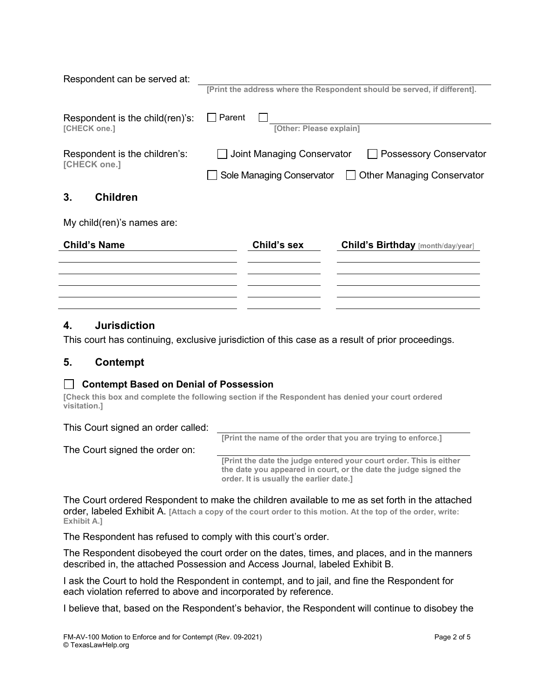| Respondent can be served at:                    |                                                                                                                               |                                          |  |
|-------------------------------------------------|-------------------------------------------------------------------------------------------------------------------------------|------------------------------------------|--|
|                                                 | [Print the address where the Respondent should be served, if different].                                                      |                                          |  |
| Respondent is the child(ren)'s:<br>[CHECK one.] | Parent<br>[Other: Please explain]                                                                                             |                                          |  |
| Respondent is the children's:<br>[CHECK one.]   | Joint Managing Conservator<br><b>Possessory Conservator</b><br>Sole Managing Conservator<br><b>Other Managing Conservator</b> |                                          |  |
| 3.<br><b>Children</b>                           |                                                                                                                               |                                          |  |
| My child(ren)'s names are:                      |                                                                                                                               |                                          |  |
| <b>Child's Name</b>                             | Child's sex                                                                                                                   | <b>Child's Birthday</b> [month/day/year] |  |
|                                                 |                                                                                                                               |                                          |  |
|                                                 |                                                                                                                               |                                          |  |

### **4. Jurisdiction**

This court has continuing, exclusive jurisdiction of this case as a result of prior proceedings.

### **5. Contempt**

### **Contempt Based on Denial of Possession**

**[Check this box and complete the following section if the Respondent has denied your court ordered visitation.]**

This Court signed an order called:

**[Print the name of the order that you are trying to enforce.]**

The Court signed the order on:

**[Print the date the judge entered your court order. This is either the date you appeared in court, or the date the judge signed the order. It is usually the earlier date.]**

The Court ordered Respondent to make the children available to me as set forth in the attached order, labeled Exhibit A. **[Attach a copy of the court order to this motion. At the top of the order, write: Exhibit A.]**

The Respondent has refused to comply with this court's order.

The Respondent disobeyed the court order on the dates, times, and places, and in the manners described in, the attached Possession and Access Journal, labeled Exhibit B.

I ask the Court to hold the Respondent in contempt, and to jail, and fine the Respondent for each violation referred to above and incorporated by reference.

I believe that, based on the Respondent's behavior, the Respondent will continue to disobey the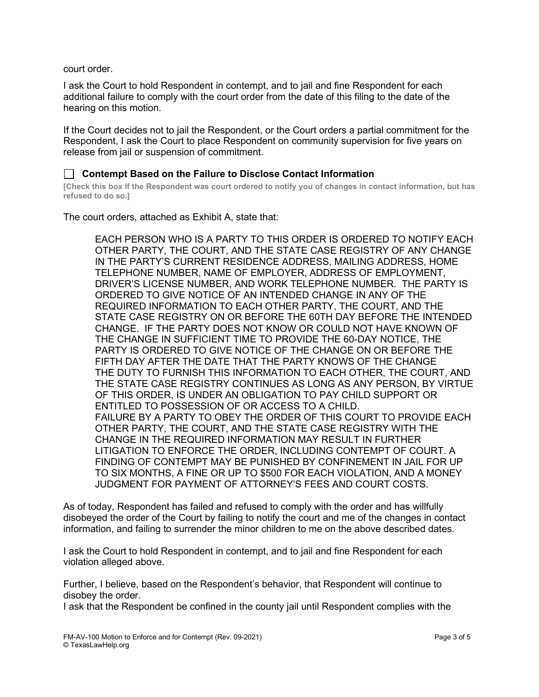court order.

I ask the Court to hold Respondent in contempt, and to jail and fine Respondent for each additional failure to comply with the court order from the date of this filing to the date of the hearing on this motion.

If the Court decides not to jail the Respondent, or the Court orders a partial commitment for the Respondent, I ask the Court to place Respondent on community supervision for five years on release from jail or suspension of commitment.

**Contempt Based on the Failure to Disclose Contact Information** 

**[Check this box if the Respondent was court ordered to notify you of changes in contact information, but has refused to do so.]**

The court orders, attached as Exhibit A, state that:

EACH PERSON WHO IS A PARTY TO THIS ORDER IS ORDERED TO NOTIFY EACH OTHER PARTY, THE COURT, AND THE STATE CASE REGISTRY OF ANY CHANGE IN THE PARTY'S CURRENT RESIDENCE ADDRESS, MAILING ADDRESS, HOME TELEPHONE NUMBER, NAME OF EMPLOYER, ADDRESS OF EMPLOYMENT, DRIVER'S LICENSE NUMBER, AND WORK TELEPHONE NUMBER. THE PARTY IS ORDERED TO GIVE NOTICE OF AN INTENDED CHANGE IN ANY OF THE REQUIRED INFORMATION TO EACH OTHER PARTY, THE COURT, AND THE STATE CASE REGISTRY ON OR BEFORE THE 60TH DAY BEFORE THE INTENDED CHANGE. IF THE PARTY DOES NOT KNOW OR COULD NOT HAVE KNOWN OF THE CHANGE IN SUFFICIENT TIME TO PROVIDE THE 60-DAY NOTICE, THE PARTY IS ORDERED TO GIVE NOTICE OF THE CHANGE ON OR BEFORE THE FIFTH DAY AFTER THE DATE THAT THE PARTY KNOWS OF THE CHANGE THE DUTY TO FURNISH THIS INFORMATION TO EACH OTHER, THE COURT, AND THE STATE CASE REGISTRY CONTINUES AS LONG AS ANY PERSON, BY VIRTUE OF THIS ORDER, IS UNDER AN OBLIGATION TO PAY CHILD SUPPORT OR ENTITLED TO POSSESSION OF OR ACCESS TO A CHILD. FAILURE BY A PARTY TO OBEY THE ORDER OF THIS COURT TO PROVIDE EACH OTHER PARTY, THE COURT, AND THE STATE CASE REGISTRY WITH THE CHANGE IN THE REQUIRED INFORMATION MAY RESULT IN FURTHER LITIGATION TO ENFORCE THE ORDER, INCLUDING CONTEMPT OF COURT. A FINDING OF CONTEMPT MAY BE PUNISHED BY CONFINEMENT IN JAIL FOR UP TO SIX MONTHS, A FINE OR UP TO \$500 FOR EACH VIOLATION, AND A MONEY JUDGMENT FOR PAYMENT OF ATTORNEY'S FEES AND COURT COSTS.

As of today, Respondent has failed and refused to comply with the order and has willfully disobeyed the order of the Court by failing to notify the court and me of the changes in contact information, and failing to surrender the minor children to me on the above described dates.

I ask the Court to hold Respondent in contempt, and to jail and fine Respondent for each violation alleged above.

Further, I believe, based on the Respondent's behavior, that Respondent will continue to disobey the order.

I ask that the Respondent be confined in the county jail until Respondent complies with the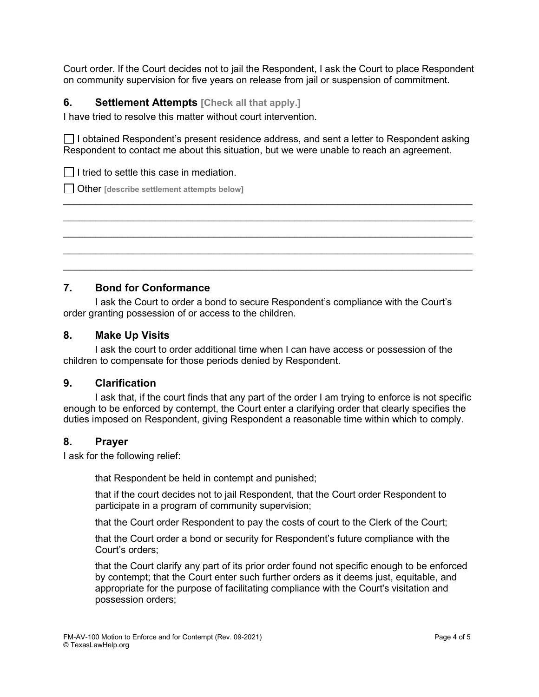Court order. If the Court decides not to jail the Respondent, I ask the Court to place Respondent on community supervision for five years on release from jail or suspension of commitment.

## **6. Settlement Attempts [Check all that apply.]**

I have tried to resolve this matter without court intervention.

 $\Box$  I obtained Respondent's present residence address, and sent a letter to Respondent asking Respondent to contact me about this situation, but we were unable to reach an agreement.

 $\mathcal{L}_\text{max}$  , and the set of the set of the set of the set of the set of the set of the set of the set of the set of the set of the set of the set of the set of the set of the set of the set of the set of the set of the  $\mathcal{L}_\text{max}$  , and the contribution of the contribution of the contribution of the contribution of the contribution of the contribution of the contribution of the contribution of the contribution of the contribution of t \_\_\_\_\_\_\_\_\_\_\_\_\_\_\_\_\_\_\_\_\_\_\_\_\_\_\_\_\_\_\_\_\_\_\_\_\_\_\_\_\_\_\_\_\_\_\_\_\_\_\_\_\_\_\_\_\_\_\_\_\_\_\_\_\_\_\_\_\_\_\_\_\_\_\_\_ \_\_\_\_\_\_\_\_\_\_\_\_\_\_\_\_\_\_\_\_\_\_\_\_\_\_\_\_\_\_\_\_\_\_\_\_\_\_\_\_\_\_\_\_\_\_\_\_\_\_\_\_\_\_\_\_\_\_\_\_\_\_\_\_\_\_\_\_\_\_\_\_\_\_\_\_  $\mathcal{L}_\text{max}$  , and the contribution of the contribution of the contribution of the contribution of the contribution of the contribution of the contribution of the contribution of the contribution of the contribution of t

 $\Box$  I tried to settle this case in mediation.

Other **[describe settlement attempts below]**

# **7. Bond for Conformance**

I ask the Court to order a bond to secure Respondent's compliance with the Court's order granting possession of or access to the children.

#### **8. Make Up Visits**

I ask the court to order additional time when I can have access or possession of the children to compensate for those periods denied by Respondent.

### **9. Clarification**

I ask that, if the court finds that any part of the order I am trying to enforce is not specific enough to be enforced by contempt, the Court enter a clarifying order that clearly specifies the duties imposed on Respondent, giving Respondent a reasonable time within which to comply.

### **8. Prayer**

I ask for the following relief:

that Respondent be held in contempt and punished;

that if the court decides not to jail Respondent, that the Court order Respondent to participate in a program of community supervision;

that the Court order Respondent to pay the costs of court to the Clerk of the Court;

that the Court order a bond or security for Respondent's future compliance with the Court's orders;

that the Court clarify any part of its prior order found not specific enough to be enforced by contempt; that the Court enter such further orders as it deems just, equitable, and appropriate for the purpose of facilitating compliance with the Court's visitation and possession orders;